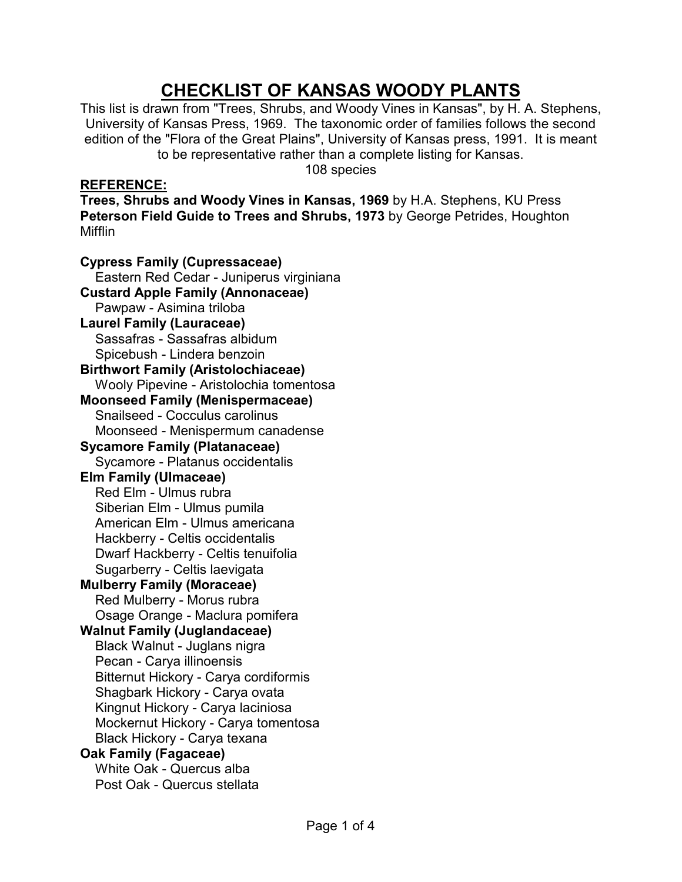## **CHECKLIST OF KANSAS WOODY PLANTS**

This list is drawn from "Trees, Shrubs, and Woody Vines in Kansas", by H. A. Stephens, University of Kansas Press, 1969. The taxonomic order of families follows the second edition of the "Flora of the Great Plains", University of Kansas press, 1991. It is meant to be representative rather than a complete listing for Kansas.

108 species

## **REFERENCE:**

**Trees, Shrubs and Woody Vines in Kansas, 1969** by H.A. Stephens, KU Press **Peterson Field Guide to Trees and Shrubs, 1973** by George Petrides, Houghton Mifflin

**Cypress Family (Cupressaceae)**  Eastern Red Cedar - Juniperus virginiana **Custard Apple Family (Annonaceae)**  Pawpaw - Asimina triloba **Laurel Family (Lauraceae)**  Sassafras - Sassafras albidum Spicebush - Lindera benzoin **Birthwort Family (Aristolochiaceae)**  Wooly Pipevine - Aristolochia tomentosa **Moonseed Family (Menispermaceae)**  Snailseed - Cocculus carolinus Moonseed - Menispermum canadense **Sycamore Family (Platanaceae)**  Sycamore - Platanus occidentalis **Elm Family (Ulmaceae)**  Red Elm - Ulmus rubra Siberian Elm - Ulmus pumila American Elm - Ulmus americana Hackberry - Celtis occidentalis Dwarf Hackberry - Celtis tenuifolia Sugarberry - Celtis laevigata **Mulberry Family (Moraceae)**  Red Mulberry - Morus rubra Osage Orange - Maclura pomifera **Walnut Family (Juglandaceae)**  Black Walnut - Juglans nigra Pecan - Carya illinoensis Bitternut Hickory - Carya cordiformis Shagbark Hickory - Carya ovata Kingnut Hickory - Carya laciniosa Mockernut Hickory - Carya tomentosa Black Hickory - Carya texana **Oak Family (Fagaceae)**  White Oak - Quercus alba Post Oak - Quercus stellata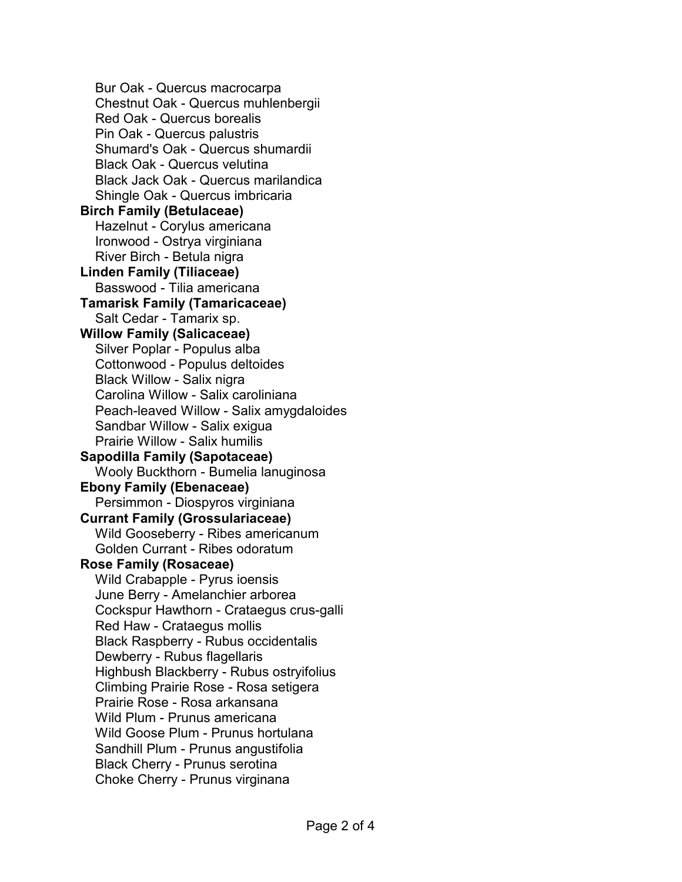Bur Oak - Quercus macrocarpa Chestnut Oak - Quercus muhlenbergii Red Oak - Quercus borealis Pin Oak - Quercus palustris Shumard's Oak - Quercus shumardii Black Oak - Quercus velutina Black Jack Oak - Quercus marilandica Shingle Oak - Quercus imbricaria **Birch Family (Betulaceae)**  Hazelnut - Corylus americana Ironwood - Ostrya virginiana River Birch - Betula nigra **Linden Family (Tiliaceae)**  Basswood - Tilia americana **Tamarisk Family (Tamaricaceae)**  Salt Cedar - Tamarix sp. **Willow Family (Salicaceae)**  Silver Poplar - Populus alba Cottonwood - Populus deltoides Black Willow - Salix nigra Carolina Willow - Salix caroliniana Peach-leaved Willow - Salix amygdaloides Sandbar Willow - Salix exigua Prairie Willow - Salix humilis **Sapodilla Family (Sapotaceae)**  Wooly Buckthorn - Bumelia lanuginosa **Ebony Family (Ebenaceae)**  Persimmon - Diospyros virginiana **Currant Family (Grossulariaceae)**  Wild Gooseberry - Ribes americanum Golden Currant - Ribes odoratum **Rose Family (Rosaceae)**  Wild Crabapple - Pyrus ioensis June Berry - Amelanchier arborea Cockspur Hawthorn - Crataegus crus-galli Red Haw - Crataegus mollis Black Raspberry - Rubus occidentalis Dewberry - Rubus flagellaris Highbush Blackberry - Rubus ostryifolius Climbing Prairie Rose - Rosa setigera Prairie Rose - Rosa arkansana Wild Plum - Prunus americana Wild Goose Plum - Prunus hortulana Sandhill Plum - Prunus angustifolia Black Cherry - Prunus serotina Choke Cherry - Prunus virginana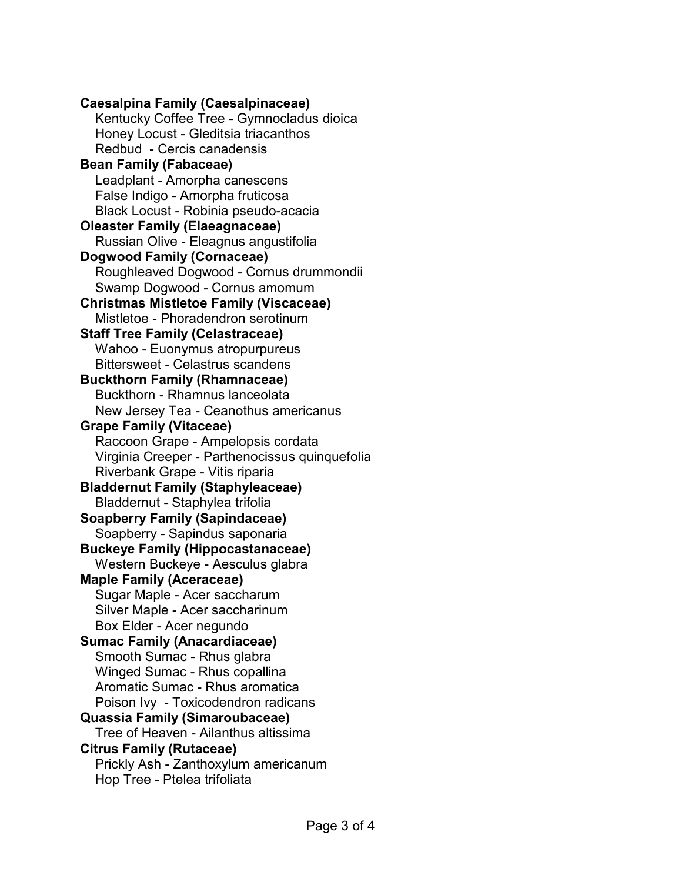**Caesalpina Family (Caesalpinaceae)**  Kentucky Coffee Tree - Gymnocladus dioica Honey Locust - Gleditsia triacanthos Redbud - Cercis canadensis **Bean Family (Fabaceae)**  Leadplant - Amorpha canescens False Indigo - Amorpha fruticosa Black Locust - Robinia pseudo-acacia **Oleaster Family (Elaeagnaceae)**  Russian Olive - Eleagnus angustifolia **Dogwood Family (Cornaceae)**  Roughleaved Dogwood - Cornus drummondii Swamp Dogwood - Cornus amomum **Christmas Mistletoe Family (Viscaceae)**  Mistletoe - Phoradendron serotinum **Staff Tree Family (Celastraceae)**  Wahoo - Euonymus atropurpureus Bittersweet - Celastrus scandens **Buckthorn Family (Rhamnaceae)**  Buckthorn - Rhamnus lanceolata New Jersey Tea - Ceanothus americanus **Grape Family (Vitaceae)**  Raccoon Grape - Ampelopsis cordata Virginia Creeper - Parthenocissus quinquefolia Riverbank Grape - Vitis riparia **Bladdernut Family (Staphyleaceae)**  Bladdernut - Staphylea trifolia **Soapberry Family (Sapindaceae)**  Soapberry - Sapindus saponaria **Buckeye Family (Hippocastanaceae)**  Western Buckeye - Aesculus glabra **Maple Family (Aceraceae)**  Sugar Maple - Acer saccharum Silver Maple - Acer saccharinum Box Elder - Acer negundo **Sumac Family (Anacardiaceae)**  Smooth Sumac - Rhus glabra Winged Sumac - Rhus copallina Aromatic Sumac - Rhus aromatica Poison Ivy - Toxicodendron radicans **Quassia Family (Simaroubaceae)**  Tree of Heaven - Ailanthus altissima **Citrus Family (Rutaceae)**  Prickly Ash - Zanthoxylum americanum Hop Tree - Ptelea trifoliata